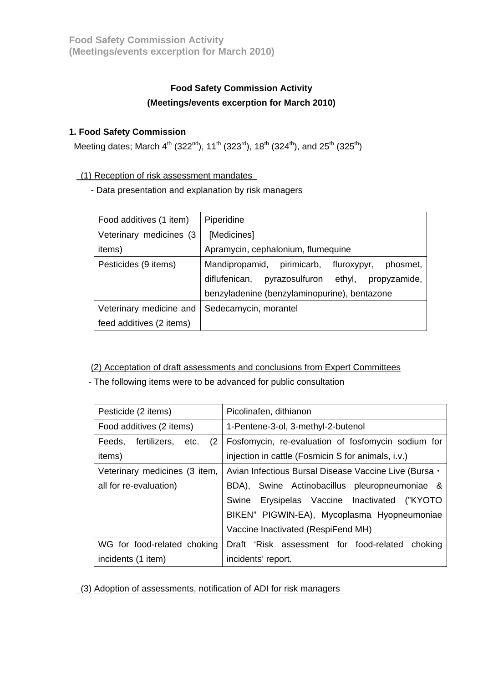# **Food Safety Commission Activity (Meetings/events excerption for March 2010)**

## **1. Food Safety Commission**

Meeting dates; March  $4^{th}$  (322<sup>nd</sup>), 11<sup>th</sup> (323<sup>rd</sup>), 18<sup>th</sup> (324<sup>th</sup>), and 25<sup>th</sup> (325<sup>th</sup>)

### (1) Reception of risk assessment mandates

- Data presentation and explanation by risk managers

| Food additives (1 item)  | Piperidine                                                |  |
|--------------------------|-----------------------------------------------------------|--|
| Veterinary medicines (3  | [Medicines]                                               |  |
| items)                   | Apramycin, cephalonium, flumequine                        |  |
| Pesticides (9 items)     | Mandipropamid, pirimicarb, fluroxypyr,<br>phosmet,        |  |
|                          | diflufenican,<br>pyrazosulfuron<br>ethyl,<br>propyzamide, |  |
|                          | benzyladenine (benzylaminopurine), bentazone              |  |
| Veterinary medicine and  | Sedecamycin, morantel                                     |  |
| feed additives (2 items) |                                                           |  |

### (2) Acceptation of draft assessments and conclusions from Expert Committees

- The following items were to be advanced for public consultation

| Pesticide (2 items)                         | Picolinafen, dithianon                                |  |
|---------------------------------------------|-------------------------------------------------------|--|
| Food additives (2 items)                    | 1-Pentene-3-ol, 3-methyl-2-butenol                    |  |
| Feeds, fertilizers, etc.<br>(2 <sup>1</sup> | Fosfomycin, re-evaluation of fosfomycin sodium for    |  |
| items)                                      | injection in cattle (Fosmicin S for animals, i.v.)    |  |
| Veterinary medicines (3 item,               | Avian Infectious Bursal Disease Vaccine Live (Bursa · |  |
| all for re-evaluation)                      | Swine Actinobacillus pleuropneumoniae &<br>BDA),      |  |
|                                             | Erysipelas Vaccine Inactivated ("KYOTO<br>Swine       |  |
|                                             | BIKEN" PIGWIN-EA), Mycoplasma Hyopneumoniae           |  |
|                                             | Vaccine Inactivated (RespiFend MH)                    |  |
| WG for food-related choking                 | Draft 'Risk assessment for food-related choking       |  |
| incidents (1 item)                          | incidents' report.                                    |  |

(3) Adoption of assessments, notification of ADI for risk managers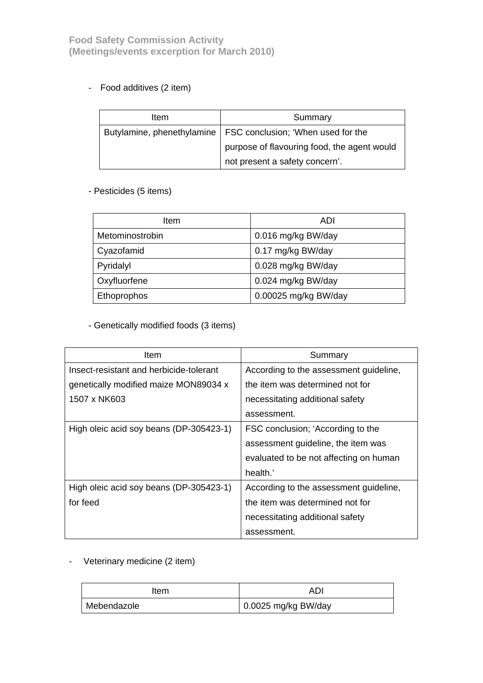# - Food additives (2 item)

| Item | Summary                                                         |
|------|-----------------------------------------------------------------|
|      | Butylamine, phenethylamine   FSC conclusion; 'When used for the |
|      | purpose of flavouring food, the agent would                     |
|      | not present a safety concern'.                                  |

### - Pesticides (5 items)

| Item            | ADI                  |
|-----------------|----------------------|
| Metominostrobin | 0.016 mg/kg BW/day   |
| Cyazofamid      | 0.17 mg/kg BW/day    |
| Pyridalyl       | 0.028 mg/kg BW/day   |
| Oxyfluorfene    | 0.024 mg/kg BW/day   |
| Ethoprophos     | 0.00025 mg/kg BW/day |

# - Genetically modified foods (3 items)

| ltem                                    | Summary                                |
|-----------------------------------------|----------------------------------------|
| Insect-resistant and herbicide-tolerant | According to the assessment guideline, |
| genetically modified maize MON89034 x   | the item was determined not for        |
| 1507 x NK603                            | necessitating additional safety        |
|                                         | assessment.                            |
| High oleic acid soy beans (DP-305423-1) | FSC conclusion; 'According to the      |
|                                         | assessment guideline, the item was     |
|                                         | evaluated to be not affecting on human |
|                                         | health.'                               |
| High oleic acid soy beans (DP-305423-1) | According to the assessment guideline, |
| for feed                                | the item was determined not for        |
|                                         | necessitating additional safety        |
|                                         | assessment.                            |

- Veterinary medicine (2 item)

| Item        | AD                  |
|-------------|---------------------|
| Mebendazole | 0.0025 mg/kg BW/day |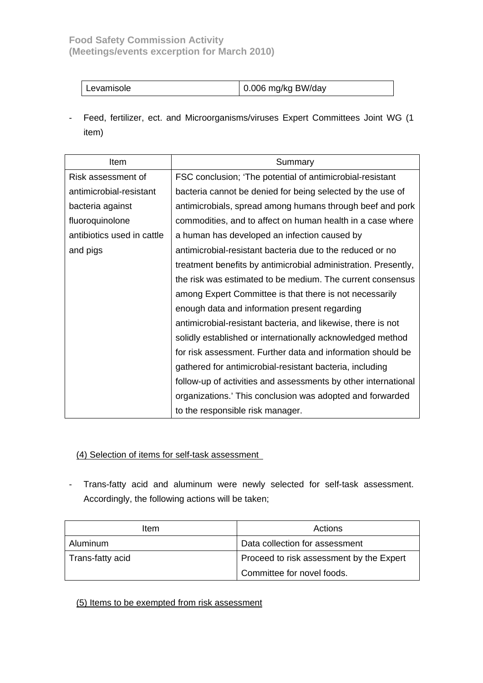| $\vert$ 0.006 mg/kg BW/day |
|----------------------------|
|----------------------------|

- Feed, fertilizer, ect. and Microorganisms/viruses Expert Committees Joint WG (1 item)

| ltem                       | Summary                                                        |
|----------------------------|----------------------------------------------------------------|
| Risk assessment of         | FSC conclusion; 'The potential of antimicrobial-resistant      |
| antimicrobial-resistant    | bacteria cannot be denied for being selected by the use of     |
| bacteria against           | antimicrobials, spread among humans through beef and pork      |
| fluoroquinolone            | commodities, and to affect on human health in a case where     |
| antibiotics used in cattle | a human has developed an infection caused by                   |
| and pigs                   | antimicrobial-resistant bacteria due to the reduced or no      |
|                            | treatment benefits by antimicrobial administration. Presently, |
|                            | the risk was estimated to be medium. The current consensus     |
|                            | among Expert Committee is that there is not necessarily        |
|                            | enough data and information present regarding                  |
|                            | antimicrobial-resistant bacteria, and likewise, there is not   |
|                            | solidly established or internationally acknowledged method     |
|                            | for risk assessment. Further data and information should be    |
|                            | gathered for antimicrobial-resistant bacteria, including       |
|                            | follow-up of activities and assessments by other international |
|                            | organizations.' This conclusion was adopted and forwarded      |
|                            | to the responsible risk manager.                               |

#### (4) Selection of items for self-task assessment

- Trans-fatty acid and aluminum were newly selected for self-task assessment. Accordingly, the following actions will be taken;

| Item             | Actions                                  |
|------------------|------------------------------------------|
| Aluminum         | Data collection for assessment           |
| Trans-fatty acid | Proceed to risk assessment by the Expert |
|                  | Committee for novel foods.               |

#### (5) Items to be exempted from risk assessment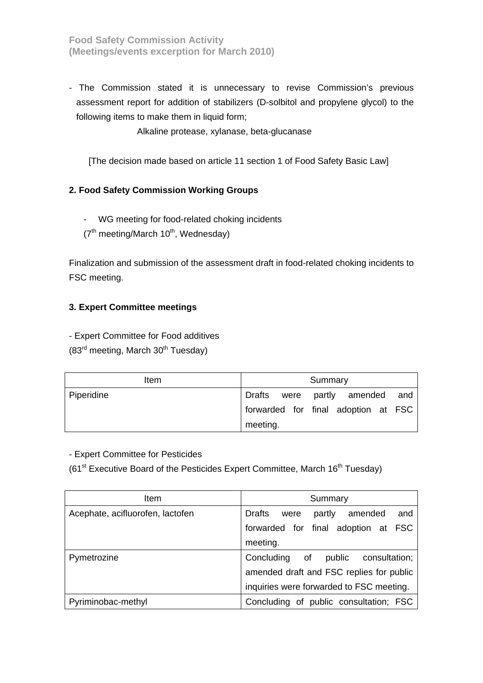**Food Safety Commission Activity (Meetings/events excerption for March 2010)** 

- The Commission stated it is unnecessary to revise Commission's previous assessment report for addition of stabilizers (D-solbitol and propylene glycol) to the following items to make them in liquid form;

Alkaline protease, xylanase, beta-glucanase

[The decision made based on article 11 section 1 of Food Safety Basic Law]

#### **2. Food Safety Commission Working Groups**

- WG meeting for food-related choking incidents
- $(7<sup>th</sup> meeting/March 10<sup>th</sup>, Wednesday)$

Finalization and submission of the assessment draft in food-related choking incidents to FSC meeting.

#### **3. Expert Committee meetings**

- Expert Committee for Food additives

 $(83<sup>rd</sup> meeting, March 30<sup>th</sup> Tuesday)$ 

| Item       | Summary                             |
|------------|-------------------------------------|
| Piperidine | Drafts were partly amended and      |
|            | forwarded for final adoption at FSC |
|            | meeting.                            |

- Expert Committee for Pesticides

(61<sup>st</sup> Executive Board of the Pesticides Expert Committee, March  $16<sup>th</sup>$  Tuesday)

| ltem                             | Summary                                     |
|----------------------------------|---------------------------------------------|
| Acephate, acifluorofen, lactofen | Drafts<br>and<br>amended<br>partly<br>were  |
|                                  | forwarded for final adoption at FSC         |
|                                  | meeting.                                    |
| Pymetrozine                      | Concluding<br>оf<br>public<br>consultation; |
|                                  | amended draft and FSC replies for public    |
|                                  | inquiries were forwarded to FSC meeting.    |
| Pyriminobac-methyl               | Concluding of public consultation; FSC      |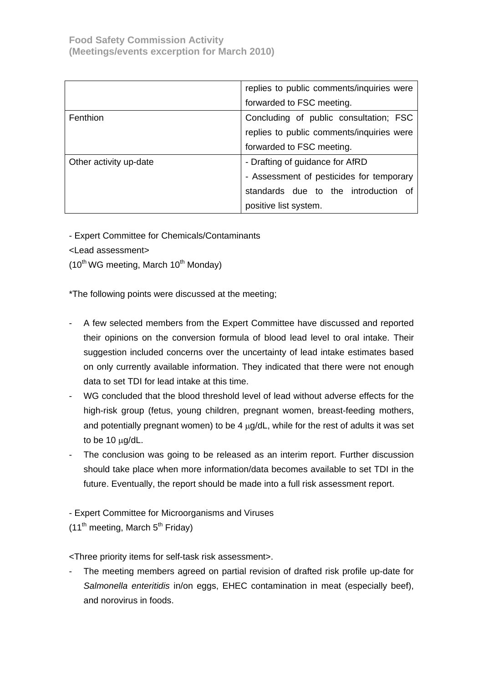|                        | replies to public comments/inquiries were |
|------------------------|-------------------------------------------|
|                        | forwarded to FSC meeting.                 |
| Fenthion               | Concluding of public consultation; FSC    |
|                        | replies to public comments/inquiries were |
|                        | forwarded to FSC meeting.                 |
| Other activity up-date | - Drafting of guidance for AfRD           |
|                        | - Assessment of pesticides for temporary  |
|                        | standards due to the introduction of      |
|                        | positive list system.                     |

- Expert Committee for Chemicals/Contaminants

<Lead assessment>

 $(10^{th}$  WG meeting, March  $10^{th}$  Monday)

\*The following points were discussed at the meeting;

- A few selected members from the Expert Committee have discussed and reported their opinions on the conversion formula of blood lead level to oral intake. Their suggestion included concerns over the uncertainty of lead intake estimates based on only currently available information. They indicated that there were not enough data to set TDI for lead intake at this time.
- WG concluded that the blood threshold level of lead without adverse effects for the high-risk group (fetus, young children, pregnant women, breast-feeding mothers, and potentially pregnant women) to be 4  $\mu$ g/dL, while for the rest of adults it was set to be 10 μg/dL.
- The conclusion was going to be released as an interim report. Further discussion should take place when more information/data becomes available to set TDI in the future. Eventually, the report should be made into a full risk assessment report.
- Expert Committee for Microorganisms and Viruses

 $(11<sup>th</sup> meeting, March 5<sup>th</sup> Friday)$ 

<Three priority items for self-task risk assessment>.

The meeting members agreed on partial revision of drafted risk profile up-date for *Salmonella enteritidis* in/on eggs, EHEC contamination in meat (especially beef), and norovirus in foods.